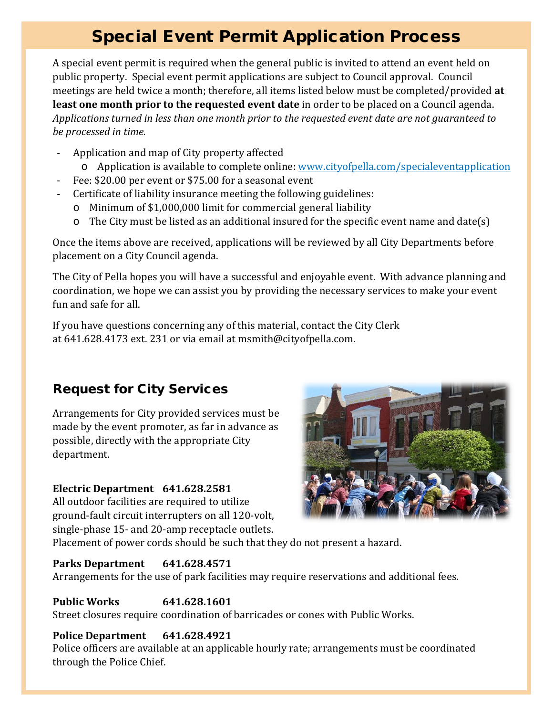## Special Event Permit Application Process

A special event permit is required when the general public is invited to attend an event held on public property. Special event permit applications are subject to Council approval. Council meetings are held twice a month; therefore, all items listed below must be completed/provided **at least one month prior to the requested event date** in order to be placed on a Council agenda. *Applications turned in less than one month prior to the requested event date are not guaranteed to be processed in time.*

- Application and map of City property affected
	- o Application is available to complete online: [www.cityofpella.com/specialeventapplication](http://www.cityofpella.com/specialeventapplication)
- Fee: \$20.00 per event or \$75.00 for a seasonal event
- Certificate of liability insurance meeting the following guidelines:
	- o Minimum of \$1,000,000 limit for commercial general liability
	- $\circ$  The City must be listed as an additional insured for the specific event name and date(s)

Once the items above are received, applications will be reviewed by all City Departments before placement on a City Council agenda.

The City of Pella hopes you will have a successful and enjoyable event. With advance planning and coordination, we hope we can assist you by providing the necessary services to make your event fun and safe for all.

If you have questions concerning any of this material, contact the City Clerk at 641.628.4173 ext. 231 or via email at msmith@cityofpella.com.

### Request for City Services

Arrangements for City provided services must be made by the event promoter, as far in advance as possible, directly with the appropriate City department.

### **Electric Department 641.628.2581**

All outdoor facilities are required to utilize ground-fault circuit interrupters on all 120-volt, single-phase 15- and 20-amp receptacle outlets.

Placement of power cords should be such that they do not present a hazard.

### **Parks Department 641.628.4571**

Arrangements for the use of park facilities may require reservations and additional fees.

### **Public Works 641.628.1601**

Street closures require coordination of barricades or cones with Public Works.

### **Police Department 641.628.4921**

Police officers are available at an applicable hourly rate; arrangements must be coordinated through the Police Chief.

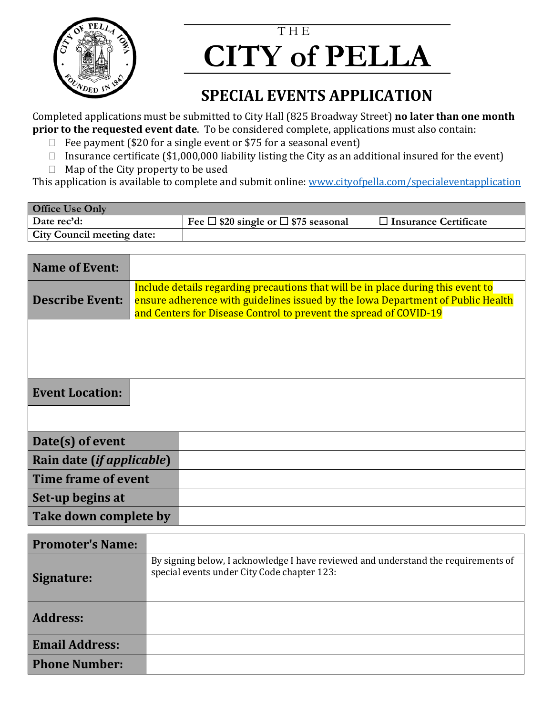

**Email Address:**

**Phone Number:**

## T H E  **CITY of PELLA**

### **SPECIAL EVENTS APPLICATION**

Completed applications must be submitted to City Hall (825 Broadway Street) **no later than one month prior to the requested event date**. To be considered complete, applications must also contain:

- $\Box$  Fee payment (\$20 for a single event or \$75 for a seasonal event)
- Insurance certificate (\$1,000,000 liability listing the City as an additional insured for the event)
- $\Box$  Map of the City property to be used

This application is available to complete and submit online: [www.cityofpella.com/specialeventapplication](http://www.cityofpella.com/specialeventapplication)

| <b>Office Use Only</b>            |                                                      |                              |  |  |  |  |
|-----------------------------------|------------------------------------------------------|------------------------------|--|--|--|--|
| Date rec'd:                       | Fee $\square$ \$20 single or $\square$ \$75 seasonal | $\Box$ Insurance Certificate |  |  |  |  |
| <b>City Council meeting date:</b> |                                                      |                              |  |  |  |  |

| <b>Name of Event:</b>              |                                                                                                                                                                                                                                          |  |  |  |  |  |
|------------------------------------|------------------------------------------------------------------------------------------------------------------------------------------------------------------------------------------------------------------------------------------|--|--|--|--|--|
| <b>Describe Event:</b>             | Include details regarding precautions that will be in place during this event to<br>ensure adherence with guidelines issued by the Iowa Department of Public Health<br>and Centers for Disease Control to prevent the spread of COVID-19 |  |  |  |  |  |
|                                    |                                                                                                                                                                                                                                          |  |  |  |  |  |
|                                    |                                                                                                                                                                                                                                          |  |  |  |  |  |
| <b>Event Location:</b>             |                                                                                                                                                                                                                                          |  |  |  |  |  |
|                                    |                                                                                                                                                                                                                                          |  |  |  |  |  |
| Date(s) of event                   |                                                                                                                                                                                                                                          |  |  |  |  |  |
| Rain date ( <i>if applicable</i> ) |                                                                                                                                                                                                                                          |  |  |  |  |  |
| Time frame of event                |                                                                                                                                                                                                                                          |  |  |  |  |  |
| Set-up begins at                   |                                                                                                                                                                                                                                          |  |  |  |  |  |
| Take down complete by              |                                                                                                                                                                                                                                          |  |  |  |  |  |
| <b>Promoter's Name:</b>            |                                                                                                                                                                                                                                          |  |  |  |  |  |
| Signature:                         | By signing below, I acknowledge I have reviewed and understand the requirements of<br>special events under City Code chapter 123:                                                                                                        |  |  |  |  |  |
| <b>Address:</b>                    |                                                                                                                                                                                                                                          |  |  |  |  |  |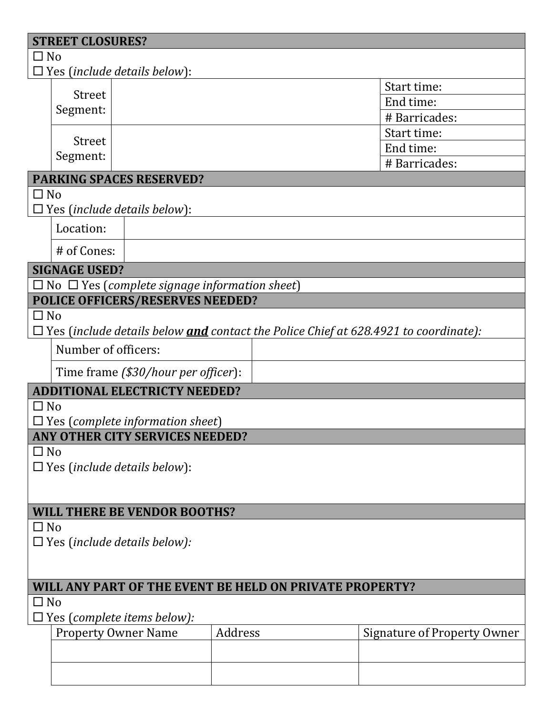| <b>STREET CLOSURES?</b>                                              |                                     |                                                           |         |  |                                                                                            |
|----------------------------------------------------------------------|-------------------------------------|-----------------------------------------------------------|---------|--|--------------------------------------------------------------------------------------------|
| $\square$ No                                                         |                                     |                                                           |         |  |                                                                                            |
|                                                                      | $\Box$ Yes (include details below): |                                                           |         |  |                                                                                            |
|                                                                      | <b>Street</b>                       |                                                           |         |  | Start time:<br>End time:                                                                   |
|                                                                      | Segment:                            |                                                           |         |  | # Barricades:                                                                              |
|                                                                      |                                     |                                                           |         |  | Start time:                                                                                |
|                                                                      | <b>Street</b>                       |                                                           |         |  | End time:                                                                                  |
|                                                                      | Segment:                            |                                                           |         |  | # Barricades:                                                                              |
|                                                                      |                                     | <b>PARKING SPACES RESERVED?</b>                           |         |  |                                                                                            |
| $\Box$ No                                                            |                                     |                                                           |         |  |                                                                                            |
|                                                                      | $\Box$ Yes (include details below): |                                                           |         |  |                                                                                            |
|                                                                      | Location:                           |                                                           |         |  |                                                                                            |
|                                                                      | # of Cones:                         |                                                           |         |  |                                                                                            |
|                                                                      | <b>SIGNAGE USED?</b>                |                                                           |         |  |                                                                                            |
|                                                                      |                                     | $\Box$ No $\Box$ Yes (complete signage information sheet) |         |  |                                                                                            |
|                                                                      |                                     | POLICE OFFICERS/RESERVES NEEDED?                          |         |  |                                                                                            |
| $\Box$ No                                                            |                                     |                                                           |         |  |                                                                                            |
|                                                                      |                                     |                                                           |         |  | $\Box$ Yes (include details below and contact the Police Chief at 628.4921 to coordinate): |
|                                                                      | Number of officers:                 |                                                           |         |  |                                                                                            |
|                                                                      |                                     | Time frame (\$30/hour per officer):                       |         |  |                                                                                            |
|                                                                      |                                     | <b>ADDITIONAL ELECTRICTY NEEDED?</b>                      |         |  |                                                                                            |
| $\Box$ No                                                            |                                     |                                                           |         |  |                                                                                            |
|                                                                      |                                     | $\Box$ Yes (complete information sheet)                   |         |  |                                                                                            |
|                                                                      |                                     | ANY OTHER CITY SERVICES NEEDED?                           |         |  |                                                                                            |
| $\Box$ No                                                            | $\Box$ Yes (include details below): |                                                           |         |  |                                                                                            |
|                                                                      |                                     |                                                           |         |  |                                                                                            |
|                                                                      |                                     |                                                           |         |  |                                                                                            |
| <b>WILL THERE BE VENDOR BOOTHS?</b>                                  |                                     |                                                           |         |  |                                                                                            |
| $\Box$ No                                                            |                                     |                                                           |         |  |                                                                                            |
| $\Box$ Yes (include details below):                                  |                                     |                                                           |         |  |                                                                                            |
|                                                                      |                                     |                                                           |         |  |                                                                                            |
|                                                                      |                                     |                                                           |         |  |                                                                                            |
| WILL ANY PART OF THE EVENT BE HELD ON PRIVATE PROPERTY?<br>$\Box$ No |                                     |                                                           |         |  |                                                                                            |
| Yes (complete items below):                                          |                                     |                                                           |         |  |                                                                                            |
|                                                                      | <b>Property Owner Name</b>          |                                                           | Address |  | <b>Signature of Property Owner</b>                                                         |
|                                                                      |                                     |                                                           |         |  |                                                                                            |
|                                                                      |                                     |                                                           |         |  |                                                                                            |
|                                                                      |                                     |                                                           |         |  |                                                                                            |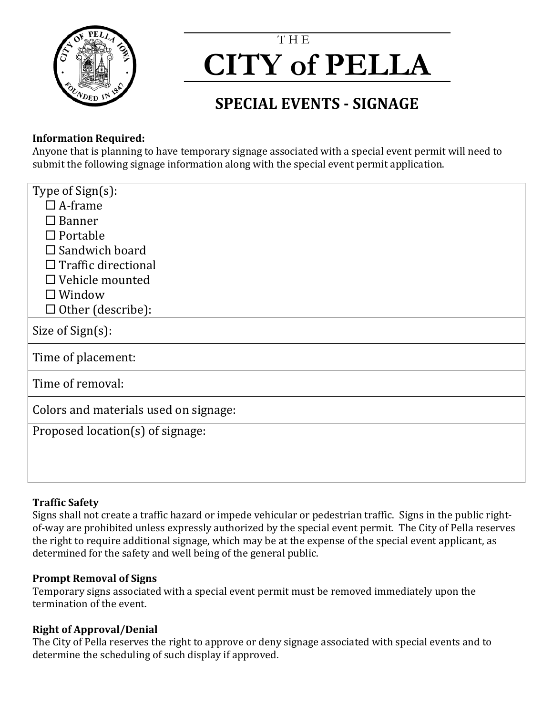

## T H E  **CITY of PELLA**

## **SPECIAL EVENTS - SIGNAGE**

### **Information Required:**

Anyone that is planning to have temporary signage associated with a special event permit will need to submit the following signage information along with the special event permit application.

| Type of Sign(s):                      |
|---------------------------------------|
| $\Box$ A-frame                        |
| $\square$ Banner                      |
| $\Box$ Portable                       |
| $\Box$ Sandwich board                 |
| $\Box$ Traffic directional            |
| $\Box$ Vehicle mounted                |
| $\Box$ Window                         |
| $\Box$ Other (describe):              |
| Size of Sign(s):                      |
| Time of placement:                    |
| Time of removal:                      |
| Colors and materials used on signage: |
| Proposed location(s) of signage:      |
|                                       |
|                                       |
|                                       |

### **Traffic Safety**

Signs shall not create a traffic hazard or impede vehicular or pedestrian traffic. Signs in the public rightof-way are prohibited unless expressly authorized by the special event permit. The City of Pella reserves the right to require additional signage, which may be at the expense of the special event applicant, as determined for the safety and well being of the general public.

### **Prompt Removal of Signs**

Temporary signs associated with a special event permit must be removed immediately upon the termination of the event.

### **Right of Approval/Denial**

The City of Pella reserves the right to approve or deny signage associated with special events and to determine the scheduling of such display if approved.